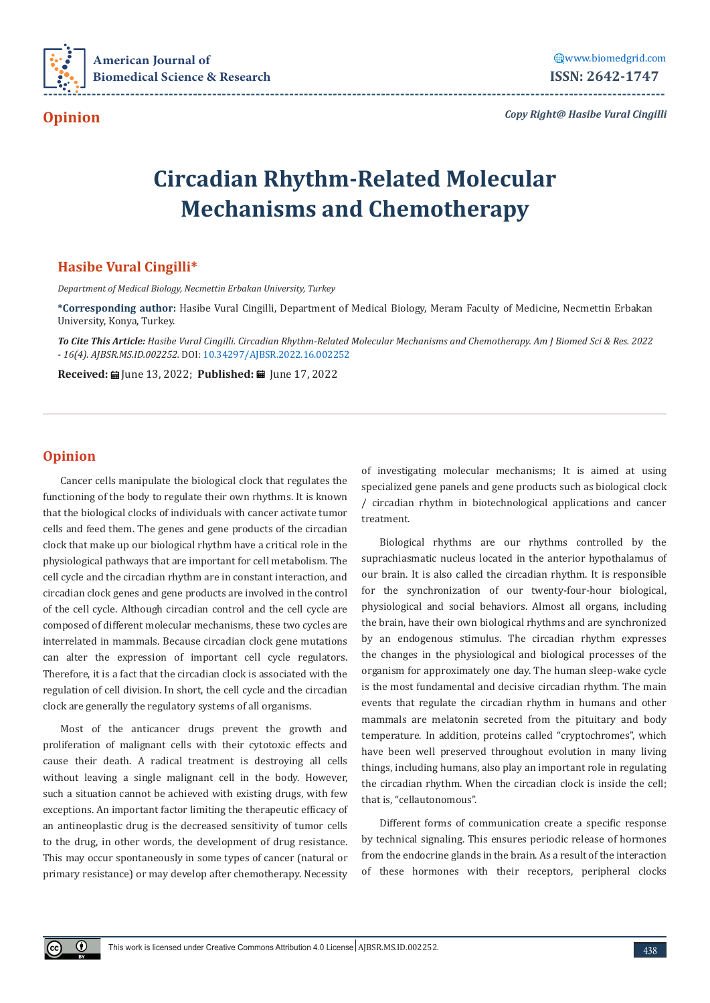

**Opinion**

*Copy Right@ Hasibe Vural Cingilli*

## **Circadian Rhythm-Related Molecular Mechanisms and Chemotherapy**

## **Hasibe Vural Cingilli\***

*Department of Medical Biology, Necmettin Erbakan University, Turkey*

**\*Corresponding author:** Hasibe Vural Cingilli, Department of Medical Biology, Meram Faculty of Medicine, Necmettin Erbakan University, Konya, Turkey.

*To Cite This Article: Hasibe Vural Cingilli. Circadian Rhythm-Related Molecular Mechanisms and Chemotherapy. Am J Biomed Sci & Res. 2022 - 16(4). AJBSR.MS.ID.002252.* DOI: [10.34297/AJBSR.2022.16.002252](http://dx.doi.org/10.34297/AJBSR.2022.16.002252)

**Received:** ■ June 13, 2022; **Published:** ■ June 17, 2022

## **Opinion**

 $\odot$ 

Cancer cells manipulate the biological clock that regulates the functioning of the body to regulate their own rhythms. It is known that the biological clocks of individuals with cancer activate tumor cells and feed them. The genes and gene products of the circadian clock that make up our biological rhythm have a critical role in the physiological pathways that are important for cell metabolism. The cell cycle and the circadian rhythm are in constant interaction, and circadian clock genes and gene products are involved in the control of the cell cycle. Although circadian control and the cell cycle are composed of different molecular mechanisms, these two cycles are interrelated in mammals. Because circadian clock gene mutations can alter the expression of important cell cycle regulators. Therefore, it is a fact that the circadian clock is associated with the regulation of cell division. In short, the cell cycle and the circadian clock are generally the regulatory systems of all organisms.

Most of the anticancer drugs prevent the growth and proliferation of malignant cells with their cytotoxic effects and cause their death. A radical treatment is destroying all cells without leaving a single malignant cell in the body. However, such a situation cannot be achieved with existing drugs, with few exceptions. An important factor limiting the therapeutic efficacy of an antineoplastic drug is the decreased sensitivity of tumor cells to the drug, in other words, the development of drug resistance. This may occur spontaneously in some types of cancer (natural or primary resistance) or may develop after chemotherapy. Necessity

of investigating molecular mechanisms; It is aimed at using specialized gene panels and gene products such as biological clock / circadian rhythm in biotechnological applications and cancer treatment.

Biological rhythms are our rhythms controlled by the suprachiasmatic nucleus located in the anterior hypothalamus of our brain. It is also called the circadian rhythm. It is responsible for the synchronization of our twenty-four-hour biological, physiological and social behaviors. Almost all organs, including the brain, have their own biological rhythms and are synchronized by an endogenous stimulus. The circadian rhythm expresses the changes in the physiological and biological processes of the organism for approximately one day. The human sleep-wake cycle is the most fundamental and decisive circadian rhythm. The main events that regulate the circadian rhythm in humans and other mammals are melatonin secreted from the pituitary and body temperature. In addition, proteins called "cryptochromes", which have been well preserved throughout evolution in many living things, including humans, also play an important role in regulating the circadian rhythm. When the circadian clock is inside the cell; that is, "cellautonomous".

Different forms of communication create a specific response by technical signaling. This ensures periodic release of hormones from the endocrine glands in the brain. As a result of the interaction of these hormones with their receptors, peripheral clocks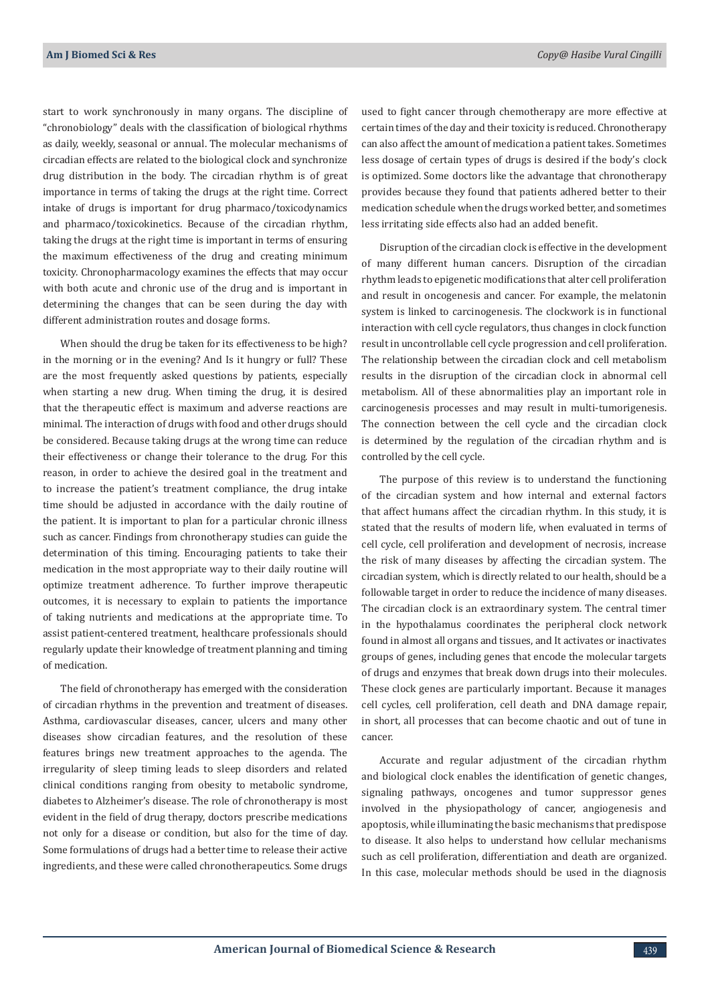start to work synchronously in many organs. The discipline of "chronobiology" deals with the classification of biological rhythms as daily, weekly, seasonal or annual. The molecular mechanisms of circadian effects are related to the biological clock and synchronize drug distribution in the body. The circadian rhythm is of great importance in terms of taking the drugs at the right time. Correct intake of drugs is important for drug pharmaco/toxicodynamics and pharmaco/toxicokinetics. Because of the circadian rhythm, taking the drugs at the right time is important in terms of ensuring the maximum effectiveness of the drug and creating minimum toxicity. Chronopharmacology examines the effects that may occur with both acute and chronic use of the drug and is important in determining the changes that can be seen during the day with different administration routes and dosage forms.

When should the drug be taken for its effectiveness to be high? in the morning or in the evening? And Is it hungry or full? These are the most frequently asked questions by patients, especially when starting a new drug. When timing the drug, it is desired that the therapeutic effect is maximum and adverse reactions are minimal. The interaction of drugs with food and other drugs should be considered. Because taking drugs at the wrong time can reduce their effectiveness or change their tolerance to the drug. For this reason, in order to achieve the desired goal in the treatment and to increase the patient's treatment compliance, the drug intake time should be adjusted in accordance with the daily routine of the patient. It is important to plan for a particular chronic illness such as cancer. Findings from chronotherapy studies can guide the determination of this timing. Encouraging patients to take their medication in the most appropriate way to their daily routine will optimize treatment adherence. To further improve therapeutic outcomes, it is necessary to explain to patients the importance of taking nutrients and medications at the appropriate time. To assist patient-centered treatment, healthcare professionals should regularly update their knowledge of treatment planning and timing of medication.

The field of chronotherapy has emerged with the consideration of circadian rhythms in the prevention and treatment of diseases. Asthma, cardiovascular diseases, cancer, ulcers and many other diseases show circadian features, and the resolution of these features brings new treatment approaches to the agenda. The irregularity of sleep timing leads to sleep disorders and related clinical conditions ranging from obesity to metabolic syndrome, diabetes to Alzheimer's disease. The role of chronotherapy is most evident in the field of drug therapy, doctors prescribe medications not only for a disease or condition, but also for the time of day. Some formulations of drugs had a better time to release their active ingredients, and these were called chronotherapeutics. Some drugs

used to fight cancer through chemotherapy are more effective at certain times of the day and their toxicity is reduced. Chronotherapy can also affect the amount of medication a patient takes. Sometimes less dosage of certain types of drugs is desired if the body's clock is optimized. Some doctors like the advantage that chronotherapy provides because they found that patients adhered better to their medication schedule when the drugs worked better, and sometimes less irritating side effects also had an added benefit.

Disruption of the circadian clock is effective in the development of many different human cancers. Disruption of the circadian rhythm leads to epigenetic modifications that alter cell proliferation and result in oncogenesis and cancer. For example, the melatonin system is linked to carcinogenesis. The clockwork is in functional interaction with cell cycle regulators, thus changes in clock function result in uncontrollable cell cycle progression and cell proliferation. The relationship between the circadian clock and cell metabolism results in the disruption of the circadian clock in abnormal cell metabolism. All of these abnormalities play an important role in carcinogenesis processes and may result in multi-tumorigenesis. The connection between the cell cycle and the circadian clock is determined by the regulation of the circadian rhythm and is controlled by the cell cycle.

The purpose of this review is to understand the functioning of the circadian system and how internal and external factors that affect humans affect the circadian rhythm. In this study, it is stated that the results of modern life, when evaluated in terms of cell cycle, cell proliferation and development of necrosis, increase the risk of many diseases by affecting the circadian system. The circadian system, which is directly related to our health, should be a followable target in order to reduce the incidence of many diseases. The circadian clock is an extraordinary system. The central timer in the hypothalamus coordinates the peripheral clock network found in almost all organs and tissues, and It activates or inactivates groups of genes, including genes that encode the molecular targets of drugs and enzymes that break down drugs into their molecules. These clock genes are particularly important. Because it manages cell cycles, cell proliferation, cell death and DNA damage repair, in short, all processes that can become chaotic and out of tune in cancer.

Accurate and regular adjustment of the circadian rhythm and biological clock enables the identification of genetic changes, signaling pathways, oncogenes and tumor suppressor genes involved in the physiopathology of cancer, angiogenesis and apoptosis, while illuminating the basic mechanisms that predispose to disease. It also helps to understand how cellular mechanisms such as cell proliferation, differentiation and death are organized. In this case, molecular methods should be used in the diagnosis